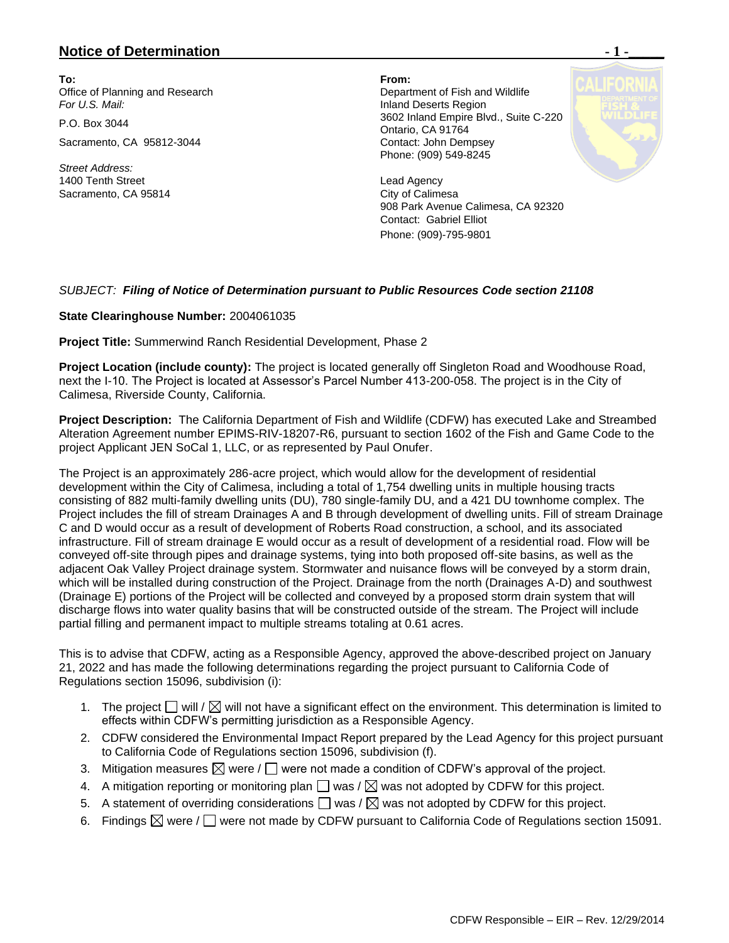## **Notice of Determination**  $\blacksquare$  **1 -**

**To: From:**  Office of Planning and Research **Department of Fish and Wildlife For U.S. Mail: Inland Deserts Region** 

Sacramento, CA 95812-3044 Contact: John Dempsey

*Street Address:* 1400 Tenth Street **Lead Agency** Lead Agency Sacramento, CA 95814 City of Calimesa

P.O. Box 3044 3602 Inland Empire Blvd., Suite C-220 Ontario, CA 91764 Phone: (909) 549-8245

> 908 Park Avenue Calimesa, CA 92320 Contact: Gabriel Elliot Phone: (909)-795-9801

## *SUBJECT: Filing of Notice of Determination pursuant to Public Resources Code section 21108*

## **State Clearinghouse Number:** 2004061035

**Project Title:** Summerwind Ranch Residential Development, Phase 2

**Project Location (include county):** The project is located generally off Singleton Road and Woodhouse Road, next the I-10. The Project is located at Assessor's Parcel Number 413-200-058. The project is in the City of Calimesa, Riverside County, California.

**Project Description:** The California Department of Fish and Wildlife (CDFW) has executed Lake and Streambed Alteration Agreement number EPIMS-RIV-18207-R6, pursuant to section 1602 of the Fish and Game Code to the project Applicant JEN SoCal 1, LLC, or as represented by Paul Onufer.

The Project is an approximately 286-acre project, which would allow for the development of residential development within the City of Calimesa, including a total of 1,754 dwelling units in multiple housing tracts consisting of 882 multi-family dwelling units (DU), 780 single-family DU, and a 421 DU townhome complex. The Project includes the fill of stream Drainages A and B through development of dwelling units. Fill of stream Drainage C and D would occur as a result of development of Roberts Road construction, a school, and its associated infrastructure. Fill of stream drainage E would occur as a result of development of a residential road. Flow will be conveyed off-site through pipes and drainage systems, tying into both proposed off-site basins, as well as the adjacent Oak Valley Project drainage system. Stormwater and nuisance flows will be conveyed by a storm drain, which will be installed during construction of the Project. Drainage from the north (Drainages A-D) and southwest (Drainage E) portions of the Project will be collected and conveyed by a proposed storm drain system that will discharge flows into water quality basins that will be constructed outside of the stream. The Project will include partial filling and permanent impact to multiple streams totaling at 0.61 acres.

This is to advise that CDFW, acting as a Responsible Agency, approved the above-described project on January 21, 2022 and has made the following determinations regarding the project pursuant to California Code of Regulations section 15096, subdivision (i):

- 1. The project  $\Box$  will  $\Diamond$  will not have a significant effect on the environment. This determination is limited to effects within CDFW's permitting jurisdiction as a Responsible Agency.
- 2. CDFW considered the Environmental Impact Report prepared by the Lead Agency for this project pursuant to California Code of Regulations section 15096, subdivision (f).
- 3. Mitigation measures  $\boxtimes$  were /  $\Box$  were not made a condition of CDFW's approval of the project.
- 4. A mitigation reporting or monitoring plan  $\Box$  was /  $\boxtimes$  was not adopted by CDFW for this project.
- 5. A statement of overriding considerations  $\Box$  was  $\land \boxtimes$  was not adopted by CDFW for this project.
- 6. Findings  $\boxtimes$  were /  $\Box$  were not made by CDFW pursuant to California Code of Regulations section 15091.

CDFW Responsible – EIR – Rev. 12/29/2014